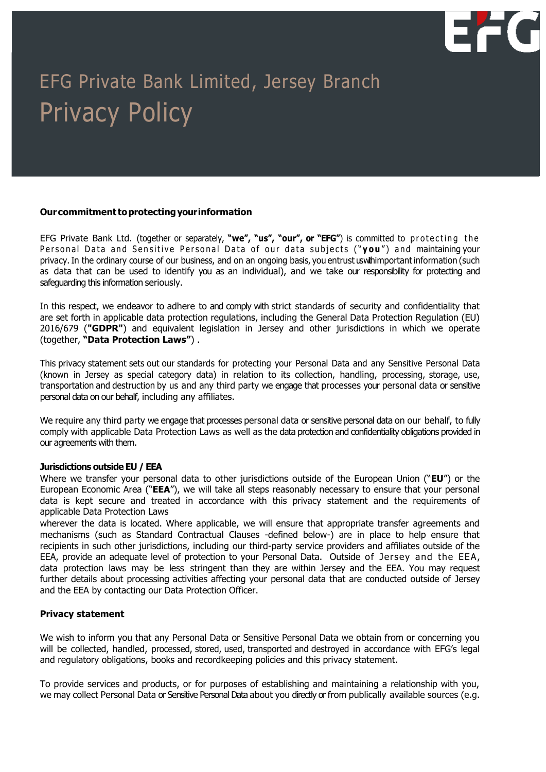

# EFG Private Bank Limited, Jersey Branch Privacy Policy

#### **Ourcommitment toprotectingyourinformation**

EFG Private Bank Ltd. (together or separately, "we", "us", "our", or "EFG") is committed to protecting the Personal Data and Sensitive Personal Data of our data subjects ("you") and maintaining your privacy. In the ordinary course of our business, and on an ongoing basis, you entrust us with important information (such as data that can be used to identify you as an individual), and we take our responsibility for protecting and safeguarding this information seriously.

In this respect, we endeavor to adhere to and comply with strict standards of security and confidentiality that are set forth in applicable data protection regulations, including the General Data Protection Regulation (EU) 2016/679 (**"GDPR"**) and equivalent legislation in Jersey and other jurisdictions in which we operate (together, **"Data Protection Laws"**) .

This privacy statement sets out our standards for protecting your Personal Data and any Sensitive Personal Data (known in Jersey as special category data) in relation to its collection, handling, processing, storage, use, transportation and destruction by us and any third party we engage that processes your personal data or sensitive personal data on our behalf, including any affiliates.

We require any third party we engage that processes personal data or sensitive personal data on our behalf, to fully comply with applicable Data Protection Laws as well as the data protection and confidentiality obligations provided in our agreements with them.

## **Jurisdictions outside EU / EEA**

Where we transfer your personal data to other jurisdictions outside of the European Union ("**EU**") or the European Economic Area ("**EEA**"), we will take all steps reasonably necessary to ensure that your personal data is kept secure and treated in accordance with this privacy statement and the requirements of applicable Data Protection Laws

wherever the data is located. Where applicable, we will ensure that appropriate transfer agreements and mechanisms (such as Standard Contractual Clauses -defined below-) are in place to help ensure that recipients in such other jurisdictions, including our third-party service providers and affiliates outside of the EEA, provide an adequate level of protection to your Personal Data. Outside of Jersey and the EEA, data protection laws may be less stringent than they are within Jersey and the EEA. You may request further details about processing activities affecting your personal data that are conducted outside of Jersey and the EEA by contacting our Data Protection Officer.

## **Privacy statement**

We wish to inform you that any Personal Data or Sensitive Personal Data we obtain from or concerning you will be collected, handled, processed, stored, used, transported and destroyed in accordance with EFG's legal and regulatory obligations, books and recordkeeping policies and this privacy statement.

To provide services and products, or for purposes of establishing and maintaining a relationship with you, we may collect Personal Data or Sensitive Personal Data about you directly or from publically available sources (e.g.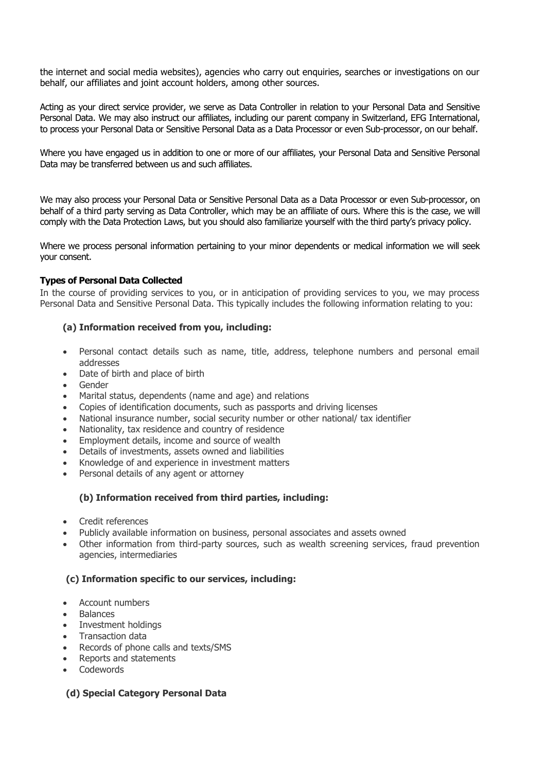the internet and social media websites), agencies who carry out enquiries, searches or investigations on our behalf, our affiliates and joint account holders, among other sources.

Acting as your direct service provider, we serve as Data Controller in relation to your Personal Data and Sensitive Personal Data. We may also instruct our affiliates, including our parent company in Switzerland, EFG International, to process your Personal Data or Sensitive Personal Data as a Data Processor or even Sub-processor, on our behalf.

Where you have engaged us in addition to one or more of our affiliates, your Personal Data and Sensitive Personal Data may be transferred between us and such affiliates.

We may also process your Personal Data or Sensitive Personal Data as a Data Processor or even Sub-processor, on behalf of a third party serving as Data Controller, which may be an affiliate of ours. Where this is the case, we will comply with the Data Protection Laws, but you should also familiarize yourself with the third party's privacy policy.

Where we process personal information pertaining to your minor dependents or medical information we will seek your consent.

## **Types of Personal Data Collected**

In the course of providing services to you, or in anticipation of providing services to you, we may process Personal Data and Sensitive Personal Data. This typically includes the following information relating to you:

#### **(a) Information received from you, including:**

- Personal contact details such as name, title, address, telephone numbers and personal email addresses
- Date of birth and place of birth
- Gender
- Marital status, dependents (name and age) and relations
- Copies of identification documents, such as passports and driving licenses
- National insurance number, social security number or other national/ tax identifier
- Nationality, tax residence and country of residence
- Employment details, income and source of wealth
- Details of investments, assets owned and liabilities
- Knowledge of and experience in investment matters
- Personal details of any agent or attorney

# **(b) Information received from third parties, including:**

- Credit references
- Publicly available information on business, personal associates and assets owned
- Other information from third-party sources, such as wealth screening services, fraud prevention agencies, intermediaries

#### **(c) Information specific to our services, including:**

- Account numbers
- **Balances**
- Investment holdings
- Transaction data
- Records of phone calls and texts/SMS
- Reports and statements
- Codewords

## **(d) Special Category Personal Data**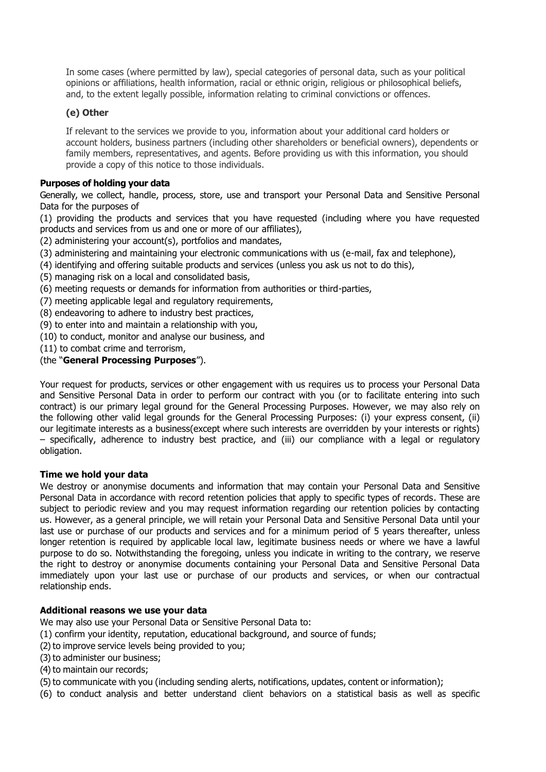In some cases (where permitted by law), special categories of personal data, such as your political opinions or affiliations, health information, racial or ethnic origin, religious or philosophical beliefs, and, to the extent legally possible, information relating to criminal convictions or offences.

# **(e) Other**

If relevant to the services we provide to you, information about your additional card holders or account holders, business partners (including other shareholders or beneficial owners), dependents or family members, representatives, and agents. Before providing us with this information, you should provide a copy of this notice to those individuals.

# **Purposes of holding your data**

Generally, we collect, handle, process, store, use and transport your Personal Data and Sensitive Personal Data for the purposes of

(1) providing the products and services that you have requested (including where you have requested products and services from us and one or more of our affiliates),

(2) administering your account(s), portfolios and mandates,

- (3) administering and maintaining your electronic communications with us (e-mail, fax and telephone),
- (4) identifying and offering suitable products and services (unless you ask us not to do this),
- (5) managing risk on a local and consolidated basis,
- (6) meeting requests or demands for information from authorities or third-parties,
- (7) meeting applicable legal and regulatory requirements,
- (8) endeavoring to adhere to industry best practices,
- (9) to enter into and maintain a relationship with you,
- (10) to conduct, monitor and analyse our business, and
- (11) to combat crime and terrorism,

# (the "**General Processing Purposes**").

Your request for products, services or other engagement with us requires us to process your Personal Data and Sensitive Personal Data in order to perform our contract with you (or to facilitate entering into such contract) is our primary legal ground for the General Processing Purposes. However, we may also rely on the following other valid legal grounds for the General Processing Purposes: (i) your express consent, (ii) our legitimate interests as a business(except where such interests are overridden by your interests or rights) – specifically, adherence to industry best practice, and (iii) our compliance with a legal or regulatory obligation.

## **Time we hold your data**

We destroy or anonymise documents and information that may contain your Personal Data and Sensitive Personal Data in accordance with record retention policies that apply to specific types of records. These are subject to periodic review and you may request information regarding our retention policies by contacting us. However, as a general principle, we will retain your Personal Data and Sensitive Personal Data until your last use or purchase of our products and services and for a minimum period of 5 years thereafter, unless longer retention is required by applicable local law, legitimate business needs or where we have a lawful purpose to do so. Notwithstanding the foregoing, unless you indicate in writing to the contrary, we reserve the right to destroy or anonymise documents containing your Personal Data and Sensitive Personal Data immediately upon your last use or purchase of our products and services, or when our contractual relationship ends.

## **Additional reasons we use your data**

- We may also use your Personal Data or Sensitive Personal Data to:
- (1) confirm your identity, reputation, educational background, and source of funds;
- (2) to improve service levels being provided to you;
- (3) to administer our business;
- (4) to maintain our records;
- (5) to communicate with you (including sending alerts, notifications, updates, content or information);
- (6) to conduct analysis and better understand client behaviors on a statistical basis as well as specific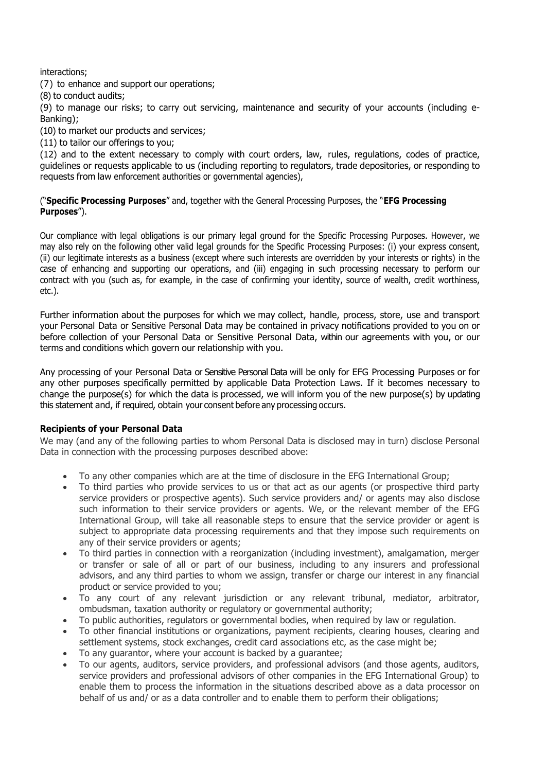interactions;

(7) to enhance and support our operations;

(8) to conduct audits;

(9) to manage our risks; to carry out servicing, maintenance and security of your accounts (including e-Banking);

(10) to market our products and services;

(11) to tailor our offerings to you;

(12) and to the extent necessary to comply with court orders, law, rules, regulations, codes of practice, guidelines or requests applicable to us (including reporting to regulators, trade depositories, or responding to requests from law enforcement authorities or governmental agencies),

("**Specific Processing Purposes**" and, together with the General Processing Purposes, the "**EFG Processing Purposes**").

Our compliance with legal obligations is our primary legal ground for the Specific Processing Purposes. However, we may also rely on the following other valid legal grounds for the Specific Processing Purposes: (i) your express consent, (ii) our legitimate interests as a business (except where such interests are overridden by your interests or rights) in the case of enhancing and supporting our operations, and (iii) engaging in such processing necessary to perform our contract with you (such as, for example, in the case of confirming your identity, source of wealth, credit worthiness, etc.).

Further information about the purposes for which we may collect, handle, process, store, use and transport your Personal Data or Sensitive Personal Data may be contained in privacy notifications provided to you on or before collection of your Personal Data or Sensitive Personal Data, within our agreements with you, or our terms and conditions which govern our relationship with you.

Any processing of your Personal Data or Sensitive Personal Data will be only for EFG Processing Purposes or for any other purposes specifically permitted by applicable Data Protection Laws. If it becomes necessary to change the purpose(s) for which the data is processed, we will inform you of the new purpose(s) by updating this statement and, if required, obtain your consent before any processing occurs.

## **Recipients of your Personal Data**

We may (and any of the following parties to whom Personal Data is disclosed may in turn) disclose Personal Data in connection with the processing purposes described above:

- To any other companies which are at the time of disclosure in the EFG International Group;
- To third parties who provide services to us or that act as our agents (or prospective third party service providers or prospective agents). Such service providers and/ or agents may also disclose such information to their service providers or agents. We, or the relevant member of the EFG International Group, will take all reasonable steps to ensure that the service provider or agent is subject to appropriate data processing requirements and that they impose such requirements on any of their service providers or agents;
- To third parties in connection with a reorganization (including investment), amalgamation, merger or transfer or sale of all or part of our business, including to any insurers and professional advisors, and any third parties to whom we assign, transfer or charge our interest in any financial product or service provided to you;
- To any court of any relevant jurisdiction or any relevant tribunal, mediator, arbitrator, ombudsman, taxation authority or regulatory or governmental authority;
- To public authorities, regulators or governmental bodies, when required by law or regulation.
- To other financial institutions or organizations, payment recipients, clearing houses, clearing and settlement systems, stock exchanges, credit card associations etc, as the case might be;
- To any guarantor, where your account is backed by a guarantee;
- To our agents, auditors, service providers, and professional advisors (and those agents, auditors, service providers and professional advisors of other companies in the EFG International Group) to enable them to process the information in the situations described above as a data processor on behalf of us and/ or as a data controller and to enable them to perform their obligations;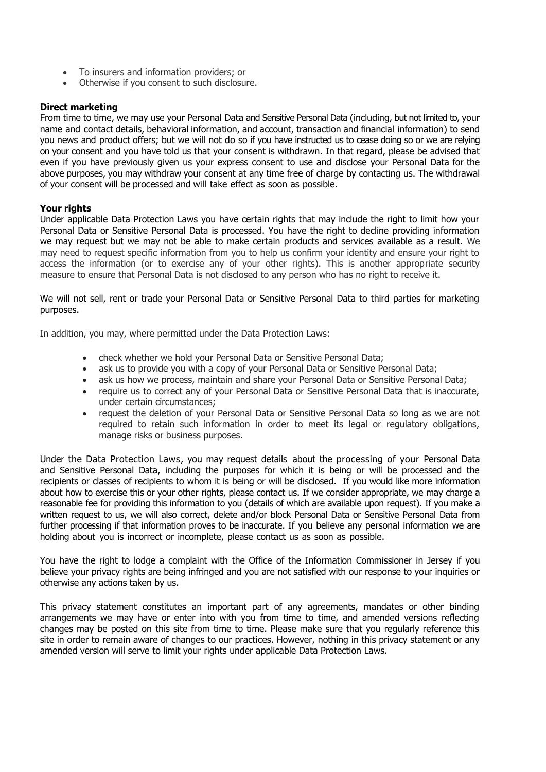- To insurers and information providers; or
- Otherwise if you consent to such disclosure.

#### **Direct marketing**

From time to time, we may use your Personal Data and Sensitive Personal Data (including, but not limited to, your name and contact details, behavioral information, and account, transaction and financial information) to send you news and product offers; but we will not do so if you have instructed us to cease doing so or we are relying on your consent and you have told us that your consent is withdrawn. In that regard, please be advised that even if you have previously given us your express consent to use and disclose your Personal Data for the above purposes, you may withdraw your consent at any time free of charge by contacting us. The withdrawal of your consent will be processed and will take effect as soon as possible.

#### **Your rights**

Under applicable Data Protection Laws you have certain rights that may include the right to limit how your Personal Data or Sensitive Personal Data is processed. You have the right to decline providing information we may request but we may not be able to make certain products and services available as a result. We may need to request specific information from you to help us confirm your identity and ensure your right to access the information (or to exercise any of your other rights). This is another appropriate security measure to ensure that Personal Data is not disclosed to any person who has no right to receive it.

We will not sell, rent or trade your Personal Data or Sensitive Personal Data to third parties for marketing purposes.

In addition, you may, where permitted under the Data Protection Laws:

- check whether we hold your Personal Data or Sensitive Personal Data;
- ask us to provide you with a copy of your Personal Data or Sensitive Personal Data;
- ask us how we process, maintain and share your Personal Data or Sensitive Personal Data;
- require us to correct any of your Personal Data or Sensitive Personal Data that is inaccurate, under certain circumstances;
- request the deletion of your Personal Data or Sensitive Personal Data so long as we are not required to retain such information in order to meet its legal or regulatory obligations, manage risks or business purposes.

Under the Data Protection Laws, you may request details about the processing of your Personal Data and Sensitive Personal Data, including the purposes for which it is being or will be processed and the recipients or classes of recipients to whom it is being or will be disclosed. If you would like more information about how to exercise this or your other rights, please contact us. If we consider appropriate, we may charge a reasonable fee for providing this information to you (details of which are available upon request). If you make a written request to us, we will also correct, delete and/or block Personal Data or Sensitive Personal Data from further processing if that information proves to be inaccurate. If you believe any personal information we are holding about you is incorrect or incomplete, please contact us as soon as possible.

You have the right to lodge a complaint with the Office of the Information Commissioner in Jersey if you believe your privacy rights are being infringed and you are not satisfied with our response to your inquiries or otherwise any actions taken by us.

This privacy statement constitutes an important part of any agreements, mandates or other binding arrangements we may have or enter into with you from time to time, and amended versions reflecting changes may be posted on this site from time to time. Please make sure that you regularly reference this site in order to remain aware of changes to our practices. However, nothing in this privacy statement or any amended version will serve to limit your rights under applicable Data Protection Laws.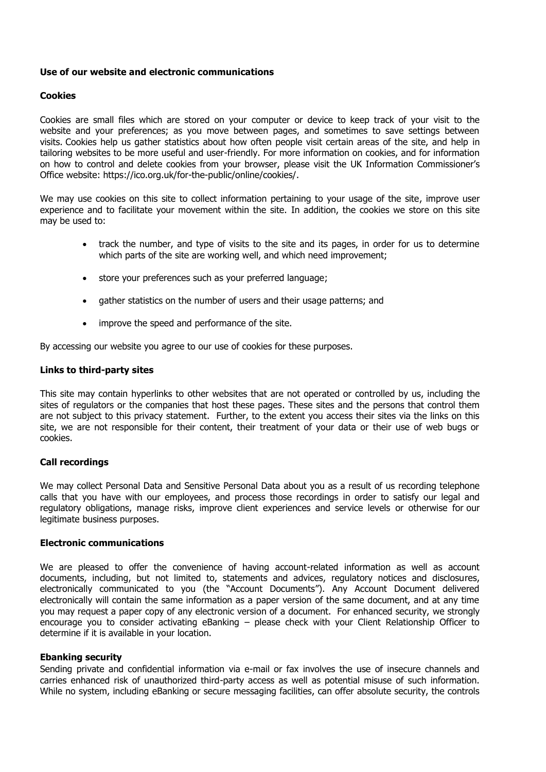#### **Use of our website and electronic communications**

#### **Cookies**

Cookies are small files which are stored on your computer or device to keep track of your visit to the website and your preferences; as you move between pages, and sometimes to save settings between visits. Cookies help us gather statistics about how often people visit certain areas of the site, and help in tailoring websites to be more useful and user-friendly. For more information on cookies, and for information on how to control and delete cookies from your browser, please visit the UK Information Commissioner's Office website: https://ico.org.uk/for-the-public/online/cookies/.

We may use cookies on this site to collect information pertaining to your usage of the site, improve user experience and to facilitate your movement within the site. In addition, the cookies we store on this site may be used to:

- track the number, and type of visits to the site and its pages, in order for us to determine which parts of the site are working well, and which need improvement;
- store your preferences such as your preferred language;
- gather statistics on the number of users and their usage patterns; and
- improve the speed and performance of the site.

By accessing our website you agree to our use of cookies for these purposes.

#### **Links to third-party sites**

This site may contain hyperlinks to other websites that are not operated or controlled by us, including the sites of regulators or the companies that host these pages. These sites and the persons that control them are not subject to this privacy statement. Further, to the extent you access their sites via the links on this site, we are not responsible for their content, their treatment of your data or their use of web bugs or cookies.

#### **Call recordings**

We may collect Personal Data and Sensitive Personal Data about you as a result of us recording telephone calls that you have with our employees, and process those recordings in order to satisfy our legal and regulatory obligations, manage risks, improve client experiences and service levels or otherwise for our legitimate business purposes.

#### **Electronic communications**

We are pleased to offer the convenience of having account-related information as well as account documents, including, but not limited to, statements and advices, regulatory notices and disclosures, electronically communicated to you (the "Account Documents"). Any Account Document delivered electronically will contain the same information as a paper version of the same document, and at any time you may request a paper copy of any electronic version of a document. For enhanced security, we strongly encourage you to consider activating eBanking – please check with your Client Relationship Officer to determine if it is available in your location.

#### **Ebanking security**

Sending private and confidential information via e-mail or fax involves the use of insecure channels and carries enhanced risk of unauthorized third-party access as well as potential misuse of such information. While no system, including eBanking or secure messaging facilities, can offer absolute security, the controls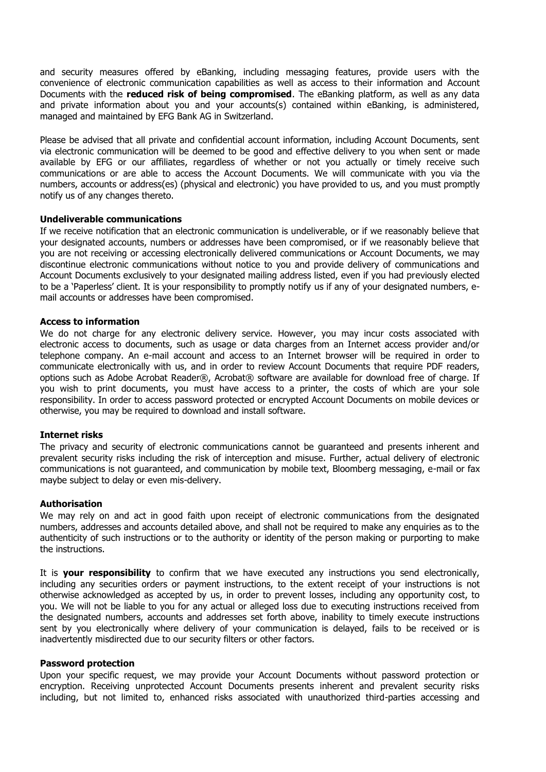and security measures offered by eBanking, including messaging features, provide users with the convenience of electronic communication capabilities as well as access to their information and Account Documents with the **reduced risk of being compromised**. The eBanking platform, as well as any data and private information about you and your accounts(s) contained within eBanking, is administered, managed and maintained by EFG Bank AG in Switzerland.

Please be advised that all private and confidential account information, including Account Documents, sent via electronic communication will be deemed to be good and effective delivery to you when sent or made available by EFG or our affiliates, regardless of whether or not you actually or timely receive such communications or are able to access the Account Documents. We will communicate with you via the numbers, accounts or address(es) (physical and electronic) you have provided to us, and you must promptly notify us of any changes thereto.

#### **Undeliverable communications**

If we receive notification that an electronic communication is undeliverable, or if we reasonably believe that your designated accounts, numbers or addresses have been compromised, or if we reasonably believe that you are not receiving or accessing electronically delivered communications or Account Documents, we may discontinue electronic communications without notice to you and provide delivery of communications and Account Documents exclusively to your designated mailing address listed, even if you had previously elected to be a 'Paperless' client. It is your responsibility to promptly notify us if any of your designated numbers, email accounts or addresses have been compromised.

#### **Access to information**

We do not charge for any electronic delivery service. However, you may incur costs associated with electronic access to documents, such as usage or data charges from an Internet access provider and/or telephone company. An e-mail account and access to an Internet browser will be required in order to communicate electronically with us, and in order to review Account Documents that require PDF readers, options such as Adobe Acrobat Reader®, Acrobat® software are available for download free of charge. If you wish to print documents, you must have access to a printer, the costs of which are your sole responsibility. In order to access password protected or encrypted Account Documents on mobile devices or otherwise, you may be required to download and install software.

#### **Internet risks**

The privacy and security of electronic communications cannot be guaranteed and presents inherent and prevalent security risks including the risk of interception and misuse. Further, actual delivery of electronic communications is not guaranteed, and communication by mobile text, Bloomberg messaging, e-mail or fax maybe subject to delay or even mis-delivery.

#### **Authorisation**

We may rely on and act in good faith upon receipt of electronic communications from the designated numbers, addresses and accounts detailed above, and shall not be required to make any enquiries as to the authenticity of such instructions or to the authority or identity of the person making or purporting to make the instructions.

It is **your responsibility** to confirm that we have executed any instructions you send electronically, including any securities orders or payment instructions, to the extent receipt of your instructions is not otherwise acknowledged as accepted by us, in order to prevent losses, including any opportunity cost, to you. We will not be liable to you for any actual or alleged loss due to executing instructions received from the designated numbers, accounts and addresses set forth above, inability to timely execute instructions sent by you electronically where delivery of your communication is delayed, fails to be received or is inadvertently misdirected due to our security filters or other factors.

#### **Password protection**

Upon your specific request, we may provide your Account Documents without password protection or encryption. Receiving unprotected Account Documents presents inherent and prevalent security risks including, but not limited to, enhanced risks associated with unauthorized third-parties accessing and